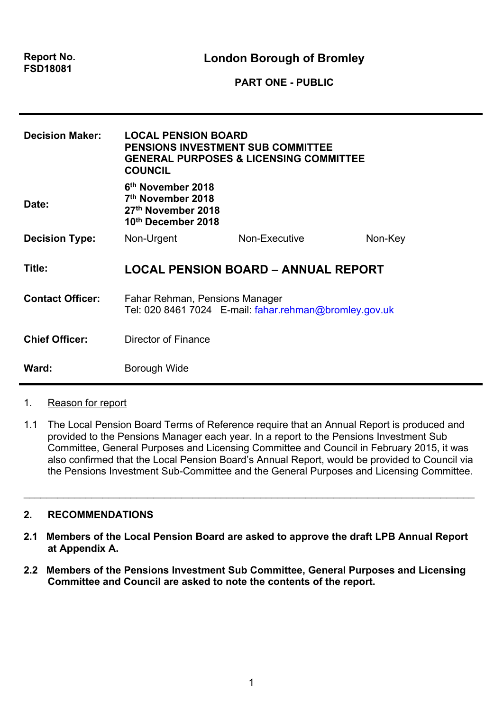| <b>Report No.</b> |  |
|-------------------|--|
| <b>FSD18081</b>   |  |

**London Borough of Bromley**

**PART ONE - PUBLIC**

| <b>Decision Maker:</b>  | <b>LOCAL PENSION BOARD</b><br>PENSIONS INVESTMENT SUB COMMITTEE<br><b>COUNCIL</b>                          | <b>GENERAL PURPOSES &amp; LICENSING COMMITTEE</b>      |         |
|-------------------------|------------------------------------------------------------------------------------------------------------|--------------------------------------------------------|---------|
| Date:                   | 6 <sup>th</sup> November 2018<br>7 <sup>th</sup> November 2018<br>27th November 2018<br>10th December 2018 |                                                        |         |
| <b>Decision Type:</b>   | Non-Urgent                                                                                                 | Non-Executive                                          | Non-Key |
| Title:                  |                                                                                                            | <b>LOCAL PENSION BOARD – ANNUAL REPORT</b>             |         |
| <b>Contact Officer:</b> | Fahar Rehman, Pensions Manager                                                                             | Tel: 020 8461 7024 E-mail: fahar.rehman@bromley.gov.uk |         |
| <b>Chief Officer:</b>   | Director of Finance                                                                                        |                                                        |         |
| Ward:                   | Borough Wide                                                                                               |                                                        |         |

- 1. Reason for report
- 1.1 The Local Pension Board Terms of Reference require that an Annual Report is produced and provided to the Pensions Manager each year. In a report to the Pensions Investment Sub Committee, General Purposes and Licensing Committee and Council in February 2015, it was also confirmed that the Local Pension Board's Annual Report, would be provided to Council via the Pensions Investment Sub-Committee and the General Purposes and Licensing Committee.

 $\_$ 

## **2. RECOMMENDATIONS**

- **2.1 Members of the Local Pension Board are asked to approve the draft LPB Annual Report at Appendix A.**
- **2.2 Members of the Pensions Investment Sub Committee, General Purposes and Licensing Committee and Council are asked to note the contents of the report.**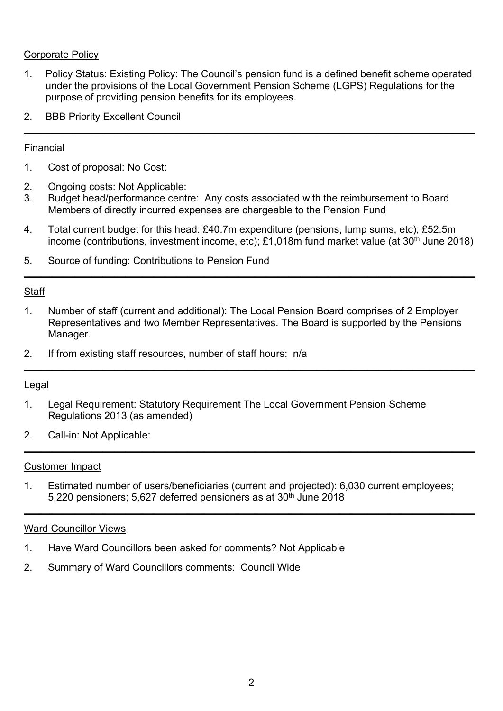## Corporate Policy

1. Policy Status: Existing Policy: The Council's pension fund is a defined benefit scheme operated under the provisions of the Local Government Pension Scheme (LGPS) Regulations for the purpose of providing pension benefits for its employees.

**\_\_\_\_\_\_\_\_\_\_\_\_\_\_\_\_\_\_\_\_\_\_\_\_\_\_\_\_\_\_\_\_\_\_\_\_\_\_\_\_\_\_\_\_\_\_\_\_\_\_\_\_\_\_\_\_\_\_\_\_\_\_\_\_\_\_\_\_\_\_\_\_\_\_\_\_\_\_\_\_**

2. BBB Priority Excellent Council

## Financial

- 1. Cost of proposal: No Cost:
- 2. Ongoing costs: Not Applicable:
- 3. Budget head/performance centre: Any costs associated with the reimbursement to Board Members of directly incurred expenses are chargeable to the Pension Fund
- 4. Total current budget for this head: £40.7m expenditure (pensions, lump sums, etc); £52.5m income (contributions, investment income, etc); £1,018m fund market value (at 30<sup>th</sup> June 2018)

**\_\_\_\_\_\_\_\_\_\_\_\_\_\_\_\_\_\_\_\_\_\_\_\_\_\_\_\_\_\_\_\_\_\_\_\_\_\_\_\_\_\_\_\_\_\_\_\_\_\_\_\_\_\_\_\_\_\_\_\_\_\_\_\_\_\_\_\_\_\_\_\_\_\_\_\_\_\_\_\_**

5. Source of funding: Contributions to Pension Fund

### **Staff**

1. Number of staff (current and additional): The Local Pension Board comprises of 2 Employer Representatives and two Member Representatives. The Board is supported by the Pensions Manager.

**\_\_\_\_\_\_\_\_\_\_\_\_\_\_\_\_\_\_\_\_\_\_\_\_\_\_\_\_\_\_\_\_\_\_\_\_\_\_\_\_\_\_\_\_\_\_\_\_\_\_\_\_\_\_\_\_\_\_\_\_\_\_\_\_\_\_\_\_\_\_\_\_\_\_\_\_\_\_\_\_**

**\_\_\_\_\_\_\_\_\_\_\_\_\_\_\_\_\_\_\_\_\_\_\_\_\_\_\_\_\_\_\_\_\_\_\_\_\_\_\_\_\_\_\_\_\_\_\_\_\_\_\_\_\_\_\_\_\_\_\_\_\_\_\_\_\_\_\_\_\_\_\_\_\_\_\_\_\_\_\_\_**

**\_\_\_\_\_\_\_\_\_\_\_\_\_\_\_\_\_\_\_\_\_\_\_\_\_\_\_\_\_\_\_\_\_\_\_\_\_\_\_\_\_\_\_\_\_\_\_\_\_\_\_\_\_\_\_\_\_\_\_\_\_\_\_\_\_\_\_\_\_\_\_\_\_\_\_\_\_\_\_\_**

2. If from existing staff resources, number of staff hours: n/a

## Legal

- 1. Legal Requirement: Statutory Requirement The Local Government Pension Scheme Regulations 2013 (as amended)
- 2. Call-in: Not Applicable:

#### Customer Impact

1. Estimated number of users/beneficiaries (current and projected): 6,030 current employees; 5,220 pensioners; 5,627 deferred pensioners as at 30<sup>th</sup> June 2018

#### Ward Councillor Views

- 1. Have Ward Councillors been asked for comments? Not Applicable
- 2. Summary of Ward Councillors comments: Council Wide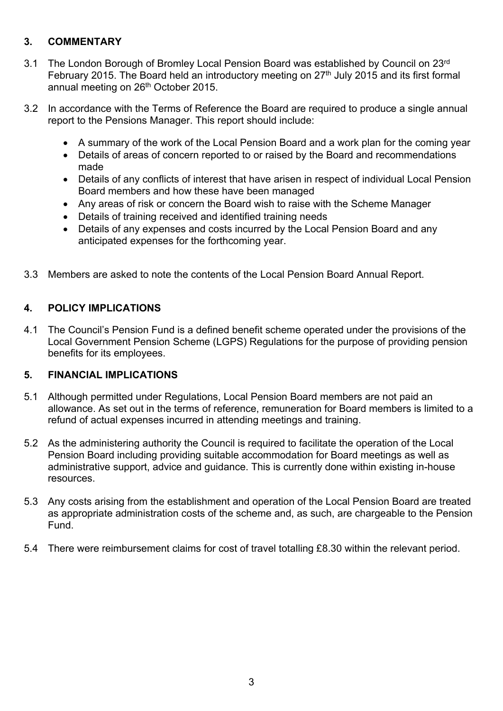# **3. COMMENTARY**

- 3.1 The London Borough of Bromley Local Pension Board was established by Council on 23rd February 2015. The Board held an introductory meeting on 27<sup>th</sup> July 2015 and its first formal annual meeting on 26<sup>th</sup> October 2015.
- 3.2 In accordance with the Terms of Reference the Board are required to produce a single annual report to the Pensions Manager. This report should include:
	- A summary of the work of the Local Pension Board and a work plan for the coming year
	- Details of areas of concern reported to or raised by the Board and recommendations made
	- Details of any conflicts of interest that have arisen in respect of individual Local Pension Board members and how these have been managed
	- Any areas of risk or concern the Board wish to raise with the Scheme Manager
	- Details of training received and identified training needs
	- Details of any expenses and costs incurred by the Local Pension Board and any anticipated expenses for the forthcoming year.
- 3.3 Members are asked to note the contents of the Local Pension Board Annual Report.

# **4. POLICY IMPLICATIONS**

4.1 The Council's Pension Fund is a defined benefit scheme operated under the provisions of the Local Government Pension Scheme (LGPS) Regulations for the purpose of providing pension benefits for its employees.

#### **5. FINANCIAL IMPLICATIONS**

- 5.1 Although permitted under Regulations, Local Pension Board members are not paid an allowance. As set out in the terms of reference, remuneration for Board members is limited to a refund of actual expenses incurred in attending meetings and training.
- 5.2 As the administering authority the Council is required to facilitate the operation of the Local Pension Board including providing suitable accommodation for Board meetings as well as administrative support, advice and guidance. This is currently done within existing in-house resources.
- 5.3 Any costs arising from the establishment and operation of the Local Pension Board are treated as appropriate administration costs of the scheme and, as such, are chargeable to the Pension Fund.
- 5.4 There were reimbursement claims for cost of travel totalling £8.30 within the relevant period.